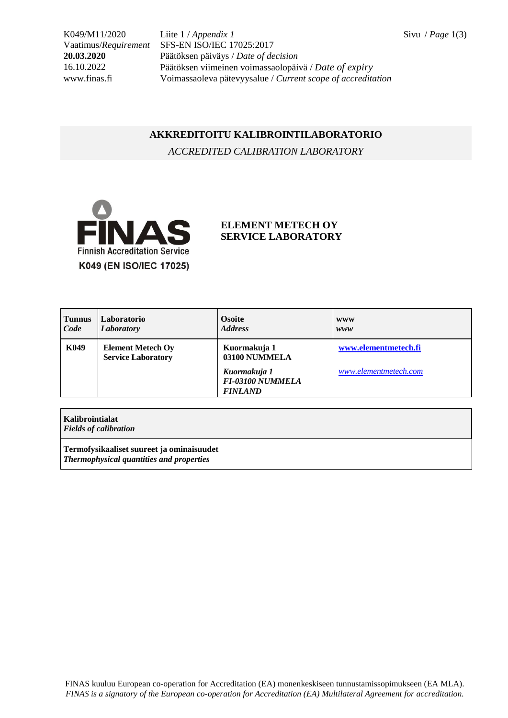K049/M11/2020 Liite 1 / *Appendix 1* Sivu / *Page* 1(3) Vaatimus/*Requirement* SFS-EN ISO/IEC 17025:2017 **20.03.2020** Päätöksen päiväys / *Date of decision* 16.10.2022 Päätöksen viimeinen voimassaolopäivä / *Date of expiry* www.finas.fi Voimassaoleva pätevyysalue / *Current scope of accreditation*

## **AKKREDITOITU KALIBROINTILABORATORIO**

*ACCREDITED CALIBRATION LABORATORY*



## **ELEMENT METECH OY SERVICE LABORATORY**

| <b>Tunnus</b><br>Code | Laboratorio<br>Laboratory                             | <b>Osoite</b><br><b>Address</b>                    | <b>WWW</b><br>www     |
|-----------------------|-------------------------------------------------------|----------------------------------------------------|-----------------------|
| K049                  | <b>Element Metech Oy</b><br><b>Service Laboratory</b> | Kuormakuja 1<br>03100 NUMMELA                      | www.elementmetech.fi  |
|                       |                                                       | Kuormakuja 1<br>FI-03100 NUMMELA<br><b>FINLAND</b> | www.elementmetech.com |

**Kalibrointialat** *Fields of calibration*

**Termofysikaaliset suureet ja ominaisuudet** *Thermophysical quantities and properties*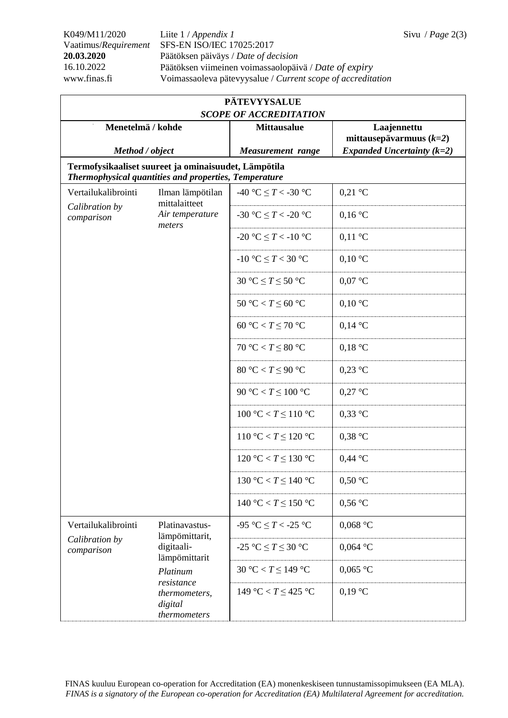K049/M11/2020 Liite 1 / *Appendix 1* Sivu / *Page* 2(3) Vaatimus/*Requirement* SFS-EN ISO/IEC 17025:2017 **20.03.2020** Päätöksen päiväys / *Date of decision* 16.10.2022 Päätöksen viimeinen voimassaolopäivä / *Date of expiry* www.finas.fi Voimassaoleva pätevyysalue / *Current scope of accreditation*

| <b>PÄTEVYYSALUE</b><br><b>SCOPE OF ACCREDITATION</b>                                                          |                                                                                                                                       |                            |                              |  |  |  |  |
|---------------------------------------------------------------------------------------------------------------|---------------------------------------------------------------------------------------------------------------------------------------|----------------------------|------------------------------|--|--|--|--|
| Menetelmä / kohde                                                                                             |                                                                                                                                       | <b>Mittausalue</b>         | Laajennettu                  |  |  |  |  |
|                                                                                                               |                                                                                                                                       |                            | mittausepävarmuus $(k=2)$    |  |  |  |  |
| Method / object                                                                                               |                                                                                                                                       | <b>Measurement</b> range   | Expanded Uncertainty $(k=2)$ |  |  |  |  |
| Termofysikaaliset suureet ja ominaisuudet, Lämpötila<br>Thermophysical quantities and properties, Temperature |                                                                                                                                       |                            |                              |  |  |  |  |
| Vertailukalibrointi<br>Calibration by                                                                         | Ilman lämpötilan<br>mittalaitteet                                                                                                     | -40 °C $\leq T <$ -30 °C   | $0,21$ °C                    |  |  |  |  |
| comparison                                                                                                    | Air temperature<br>meters                                                                                                             | -30 °C $\leq T <$ -20 °C   | $0,16\text{ °C}$             |  |  |  |  |
|                                                                                                               |                                                                                                                                       | -20 °C $\leq T <$ -10 °C   | $0,11 \text{ }^{\circ}C$     |  |  |  |  |
|                                                                                                               |                                                                                                                                       | -10 °C $\leq T < 30$ °C    | $0,10\text{ °C}$             |  |  |  |  |
|                                                                                                               |                                                                                                                                       | 30 °C $\leq T \leq 50$ °C  | $0,07$ °C                    |  |  |  |  |
|                                                                                                               |                                                                                                                                       | 50 °C < $T \leq 60$ °C     | $0,10\text{ °C}$             |  |  |  |  |
|                                                                                                               |                                                                                                                                       | 60 °C < $T \leq 70$ °C     | $0,14\text{ °C}$             |  |  |  |  |
|                                                                                                               |                                                                                                                                       | $70 °C < T \leq 80 °C$     | $0,18$ °C                    |  |  |  |  |
|                                                                                                               |                                                                                                                                       | 80 °C < $T \leq 90$ °C     | $0,23$ °C                    |  |  |  |  |
|                                                                                                               |                                                                                                                                       | 90 °C < $T \leq 100$ °C    | $0,27$ °C                    |  |  |  |  |
|                                                                                                               |                                                                                                                                       | 100 °C < $T \le 110$ °C    | $0,33$ °C                    |  |  |  |  |
|                                                                                                               |                                                                                                                                       | 110 °C < $T \le 120$ °C    | $0,38$ °C                    |  |  |  |  |
|                                                                                                               |                                                                                                                                       | 120 °C < $T \le 130$ °C    | $0,44\text{ °C}$             |  |  |  |  |
|                                                                                                               |                                                                                                                                       | 130 °C < $T \le 140$ °C    | $0,50 \degree C$             |  |  |  |  |
|                                                                                                               |                                                                                                                                       | 140 °C < $T \le 150$ °C    | $0,56$ °C                    |  |  |  |  |
| Vertailukalibrointi                                                                                           | Platinavastus-<br>lämpömittarit,<br>digitaali-<br>lämpömittarit<br>Platinum<br>resistance<br>thermometers,<br>digital<br>thermometers | -95 °C $\leq T$ < -25 °C   | $0,068$ °C                   |  |  |  |  |
| Calibration by<br>comparison                                                                                  |                                                                                                                                       | -25 °C $\leq T \leq 30$ °C | $0,064$ °C                   |  |  |  |  |
|                                                                                                               |                                                                                                                                       | 30 °C < $T \leq 149$ °C    | $0,065$ °C                   |  |  |  |  |
|                                                                                                               |                                                                                                                                       | 149 °C < $T \leq 425$ °C   | $0,19$ °C                    |  |  |  |  |